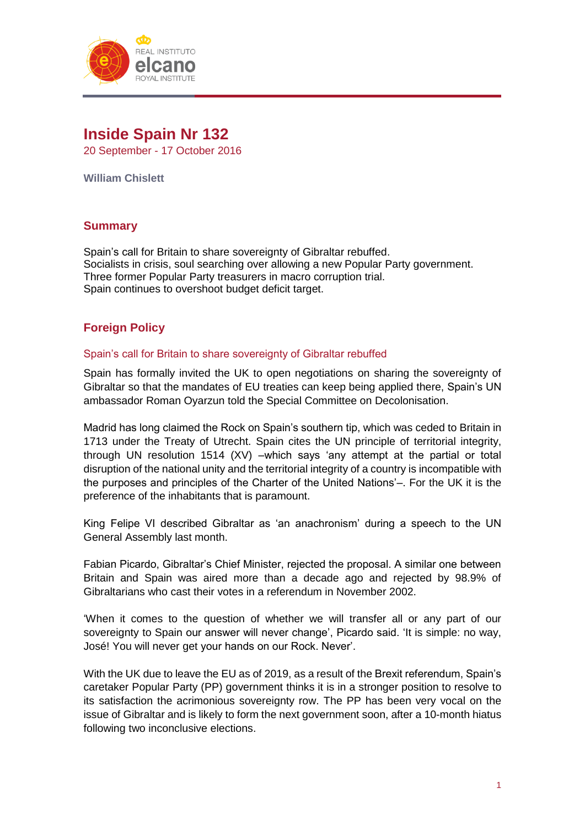

# **Inside Spain Nr 132**

20 September - 17 October 2016

**William Chislett**

# **Summary**

Spain's call for Britain to share sovereignty of Gibraltar rebuffed. Socialists in crisis, soul searching over allowing a new Popular Party government. Three former Popular Party treasurers in macro corruption trial. Spain continues to overshoot budget deficit target.

# **Foreign Policy**

## Spain's call for Britain to share sovereignty of Gibraltar rebuffed

Spain has formally invited the UK to open negotiations on sharing the sovereignty of Gibraltar so that the mandates of EU treaties can keep being applied there, Spain's UN ambassador Roman Oyarzun told the Special Committee on Decolonisation.

Madrid has long claimed the Rock on Spain's southern tip, which was ceded to Britain in 1713 under the Treaty of Utrecht. Spain cites the UN principle of territorial integrity, through UN resolution 1514 (XV) –which says 'any attempt at the partial or total disruption of the national unity and the territorial integrity of a country is incompatible with the purposes and principles of the Charter of the United Nations'–. For the UK it is the preference of the inhabitants that is paramount.

King Felipe VI described Gibraltar as 'an anachronism' during a speech to the UN General Assembly last month.

Fabian Picardo, Gibraltar's Chief Minister, rejected the proposal. A similar one between Britain and Spain was aired more than a decade ago and rejected by 98.9% of Gibraltarians who cast their votes in a referendum in November 2002.

'When it comes to the question of whether we will transfer all or any part of our sovereignty to Spain our answer will never change', Picardo said. 'It is simple: no way, José! You will never get your hands on our Rock. Never'.

With the UK due to leave the EU as of 2019, as a result of the Brexit referendum, Spain's caretaker Popular Party (PP) government thinks it is in a stronger position to resolve to its satisfaction the acrimonious sovereignty row. The PP has been very vocal on the issue of Gibraltar and is likely to form the next government soon, after a 10-month hiatus following two inconclusive elections.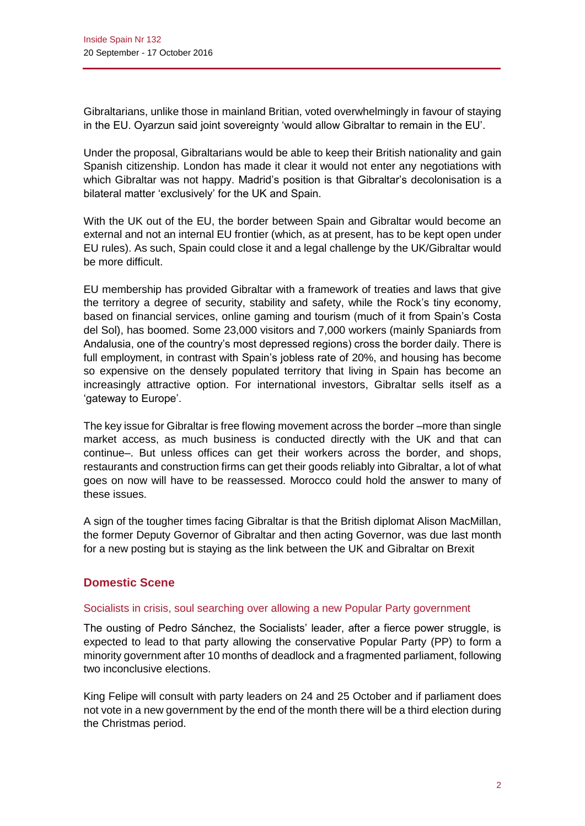Gibraltarians, unlike those in mainland Britian, voted overwhelmingly in favour of staying in the EU. Oyarzun said joint sovereignty 'would allow Gibraltar to remain in the EU'.

Under the proposal, Gibraltarians would be able to keep their British nationality and gain Spanish citizenship. London has made it clear it would not enter any negotiations with which Gibraltar was not happy. Madrid's position is that Gibraltar's decolonisation is a bilateral matter 'exclusively' for the UK and Spain.

With the UK out of the EU, the border between Spain and Gibraltar would become an external and not an internal EU frontier (which, as at present, has to be kept open under EU rules). As such, Spain could close it and a legal challenge by the UK/Gibraltar would be more difficult.

EU membership has provided Gibraltar with a framework of treaties and laws that give the territory a degree of security, stability and safety, while the Rock's tiny economy, based on financial services, online gaming and tourism (much of it from Spain's Costa del Sol), has boomed. Some 23,000 visitors and 7,000 workers (mainly Spaniards from Andalusia, one of the country's most depressed regions) cross the border daily. There is full employment, in contrast with Spain's jobless rate of 20%, and housing has become so expensive on the densely populated territory that living in Spain has become an increasingly attractive option. For international investors, Gibraltar sells itself as a 'gateway to Europe'.

The key issue for Gibraltar is free flowing movement across the border –more than single market access, as much business is conducted directly with the UK and that can continue–. But unless offices can get their workers across the border, and shops, restaurants and construction firms can get their goods reliably into Gibraltar, a lot of what goes on now will have to be reassessed. Morocco could hold the answer to many of these issues.

A sign of the tougher times facing Gibraltar is that the British diplomat Alison MacMillan, the former Deputy Governor of Gibraltar and then acting Governor, was due last month for a new posting but is staying as the link between the UK and Gibraltar on Brexit

# **Domestic Scene**

#### Socialists in crisis, soul searching over allowing a new Popular Party government

The ousting of Pedro Sánchez, the Socialists' leader, after a fierce power struggle, is expected to lead to that party allowing the conservative Popular Party (PP) to form a minority government after 10 months of deadlock and a fragmented parliament, following two inconclusive elections.

King Felipe will consult with party leaders on 24 and 25 October and if parliament does not vote in a new government by the end of the month there will be a third election during the Christmas period.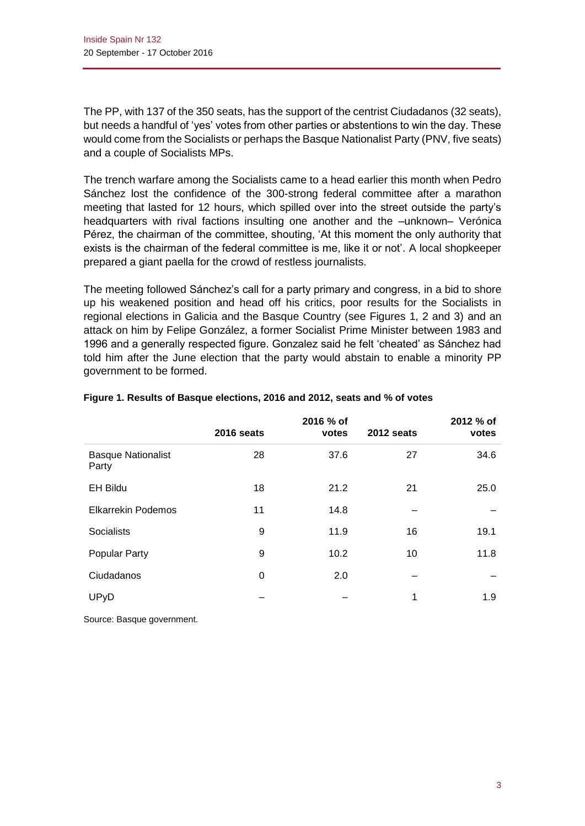The PP, with 137 of the 350 seats, has the support of the centrist Ciudadanos (32 seats), but needs a handful of 'yes' votes from other parties or abstentions to win the day. These would come from the Socialists or perhaps the Basque Nationalist Party (PNV, five seats) and a couple of Socialists MPs.

The trench warfare among the Socialists came to a head earlier this month when Pedro Sánchez lost the confidence of the 300-strong federal committee after a marathon meeting that lasted for 12 hours, which spilled over into the street outside the party's headquarters with rival factions insulting one another and the –unknown– Verónica Pérez, the chairman of the committee, shouting, 'At this moment the only authority that exists is the chairman of the federal committee is me, like it or not'. A local shopkeeper prepared a giant paella for the crowd of restless journalists.

The meeting followed Sánchez's call for a party primary and congress, in a bid to shore up his weakened position and head off his critics, poor results for the Socialists in regional elections in Galicia and the Basque Country (see Figures 1, 2 and 3) and an attack on him by Felipe González, a former Socialist Prime Minister between 1983 and 1996 and a generally respected figure. Gonzalez said he felt 'cheated' as Sánchez had told him after the June election that the party would abstain to enable a minority PP government to be formed.

|                                    |            | 2016 % of |            | 2012 % of |
|------------------------------------|------------|-----------|------------|-----------|
|                                    | 2016 seats | votes     | 2012 seats | votes     |
| <b>Basque Nationalist</b><br>Party | 28         | 37.6      | 27         | 34.6      |
| <b>EH Bildu</b>                    | 18         | 21.2      | 21         | 25.0      |
| <b>Elkarrekin Podemos</b>          | 11         | 14.8      |            |           |
| <b>Socialists</b>                  | 9          | 11.9      | 16         | 19.1      |
| Popular Party                      | 9          | 10.2      | 10         | 11.8      |
| Ciudadanos                         | 0          | 2.0       |            |           |
| <b>UPyD</b>                        |            |           | 1          | 1.9       |
|                                    |            |           |            |           |

## **Figure 1. Results of Basque elections, 2016 and 2012, seats and % of votes**

Source: Basque government.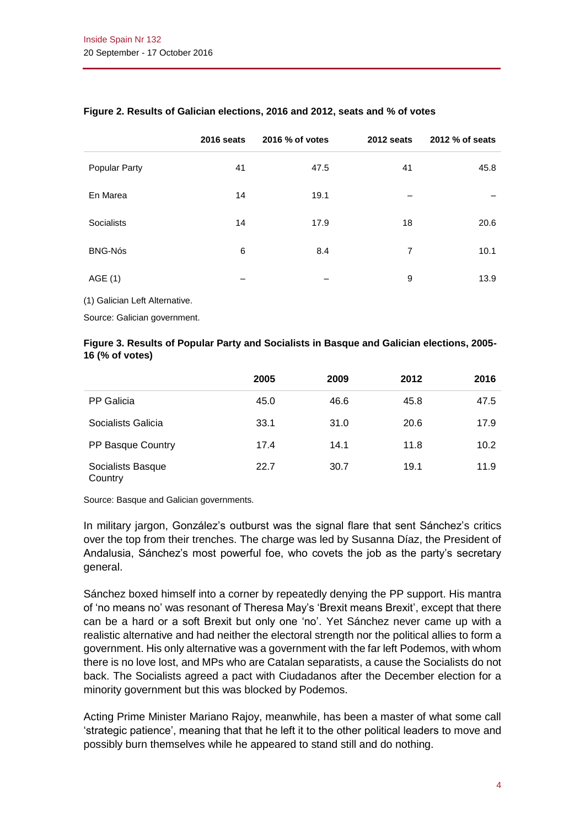|                   | 2016 seats | 2016 % of votes | 2012 seats | 2012 % of seats |
|-------------------|------------|-----------------|------------|-----------------|
| Popular Party     | 41         | 47.5            | 41         | 45.8            |
| En Marea          | 14         | 19.1            |            |                 |
| <b>Socialists</b> | 14         | 17.9            | 18         | 20.6            |
| <b>BNG-Nós</b>    | 6          | 8.4             | 7          | 10.1            |
| AGE (1)           |            |                 | 9          | 13.9            |

#### **Figure 2. Results of Galician elections, 2016 and 2012, seats and % of votes**

(1) Galician Left Alternative.

Source: Galician government.

#### **Figure 3. Results of Popular Party and Socialists in Basque and Galician elections, 2005- 16 (% of votes)**

|                              | 2005 | 2009 | 2012 | 2016 |
|------------------------------|------|------|------|------|
| PP Galicia                   | 45.0 | 46.6 | 45.8 | 47.5 |
| Socialists Galicia           | 33.1 | 31.0 | 20.6 | 17.9 |
| PP Basque Country            | 17.4 | 14.1 | 11.8 | 10.2 |
| Socialists Basque<br>Country | 22.7 | 30.7 | 19.1 | 11.9 |

Source: Basque and Galician governments.

In military jargon, González's outburst was the signal flare that sent Sánchez's critics over the top from their trenches. The charge was led by Susanna Díaz, the President of Andalusia, Sánchez's most powerful foe, who covets the job as the party's secretary general.

Sánchez boxed himself into a corner by repeatedly denying the PP support. His mantra of 'no means no' was resonant of Theresa May's 'Brexit means Brexit', except that there can be a hard or a soft Brexit but only one 'no'. Yet Sánchez never came up with a realistic alternative and had neither the electoral strength nor the political allies to form a government. His only alternative was a government with the far left Podemos, with whom there is no love lost, and MPs who are Catalan separatists, a cause the Socialists do not back. The Socialists agreed a pact with Ciudadanos after the December election for a minority government but this was blocked by Podemos.

Acting Prime Minister Mariano Rajoy, meanwhile, has been a master of what some call 'strategic patience', meaning that that he left it to the other political leaders to move and possibly burn themselves while he appeared to stand still and do nothing.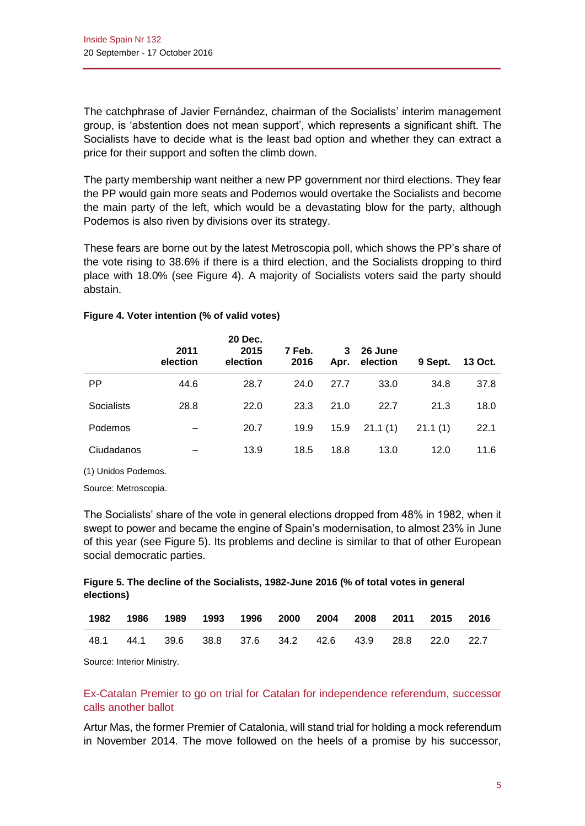The catchphrase of Javier Fernández, chairman of the Socialists' interim management group, is 'abstention does not mean support', which represents a significant shift. The Socialists have to decide what is the least bad option and whether they can extract a price for their support and soften the climb down.

The party membership want neither a new PP government nor third elections. They fear the PP would gain more seats and Podemos would overtake the Socialists and become the main party of the left, which would be a devastating blow for the party, although Podemos is also riven by divisions over its strategy.

These fears are borne out by the latest Metroscopia poll, which shows the PP's share of the vote rising to 38.6% if there is a third election, and the Socialists dropping to third place with 18.0% (see Figure 4). A majority of Socialists voters said the party should abstain.

|                   | 2011<br>election | 20 Dec.<br>2015<br>election | 7 Feb.<br>2016 | 3<br>Apr. | 26 June<br>election | 9 Sept. | 13 Oct. |
|-------------------|------------------|-----------------------------|----------------|-----------|---------------------|---------|---------|
| <b>PP</b>         | 44.6             | 28.7                        | 24.0           | 27.7      | 33.0                | 34.8    | 37.8    |
| <b>Socialists</b> | 28.8             | 22.0                        | 23.3           | 21.0      | 22.7                | 21.3    | 18.0    |
| Podemos           |                  | 20.7                        | 19.9           | 15.9      | 21.1(1)             | 21.1(1) | 22.1    |
| Ciudadanos        |                  | 13.9                        | 18.5           | 18.8      | 13.0                | 12.0    | 11.6    |

#### **Figure 4. Voter intention (% of valid votes)**

(1) Unidos Podemos.

Source: Metroscopia.

The Socialists' share of the vote in general elections dropped from 48% in 1982, when it swept to power and became the engine of Spain's modernisation, to almost 23% in June of this year (see Figure 5). Its problems and decline is similar to that of other European social democratic parties.

#### **Figure 5. The decline of the Socialists, 1982-June 2016 (% of total votes in general elections)**

|      | 1982 1986 1989 | 1993 1996 2000 2004 2008 2011 2015 2016           |  |  |  |  |
|------|----------------|---------------------------------------------------|--|--|--|--|
| 48.1 |                | 44.1 39.6 38.8 37.6 34.2 42.6 43.9 28.8 22.0 22.7 |  |  |  |  |

Source: Interior Ministry.

# Ex-Catalan Premier to go on trial for Catalan for independence referendum, successor calls another ballot

Artur Mas, the former Premier of Catalonia, will stand trial for holding a mock referendum in November 2014. The move followed on the heels of a promise by his successor,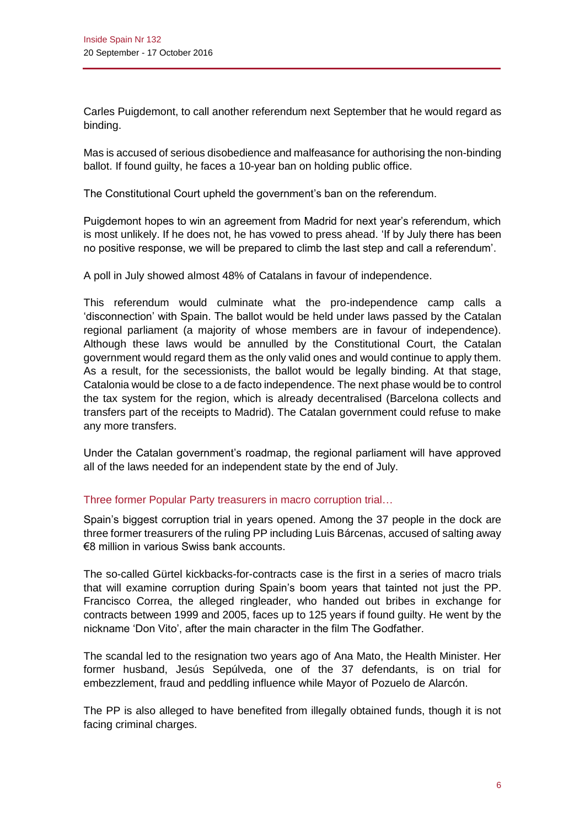Carles Puigdemont, to call another referendum next September that he would regard as binding.

Mas is accused of serious disobedience and malfeasance for authorising the non-binding ballot. If found guilty, he faces a 10-year ban on holding public office.

The Constitutional Court upheld the government's ban on the referendum.

Puigdemont hopes to win an agreement from Madrid for next year's referendum, which is most unlikely. If he does not, he has vowed to press ahead. 'If by July there has been no positive response, we will be prepared to climb the last step and call a referendum'.

A poll in July showed almost 48% of Catalans in favour of independence.

This referendum would culminate what the pro-independence camp calls a 'disconnection' with Spain. The ballot would be held under laws passed by the Catalan regional parliament (a majority of whose members are in favour of independence). Although these laws would be annulled by the Constitutional Court, the Catalan government would regard them as the only valid ones and would continue to apply them. As a result, for the secessionists, the ballot would be legally binding. At that stage, Catalonia would be close to a de facto independence. The next phase would be to control the tax system for the region, which is already decentralised (Barcelona collects and transfers part of the receipts to Madrid). The Catalan government could refuse to make any more transfers.

Under the Catalan government's roadmap, the regional parliament will have approved all of the laws needed for an independent state by the end of July.

## Three former Popular Party treasurers in macro corruption trial…

Spain's biggest corruption trial in years opened. Among the 37 people in the dock are three former treasurers of the ruling PP including Luis Bárcenas, accused of salting away €8 million in various Swiss bank accounts.

The so-called Gürtel kickbacks-for-contracts case is the first in a series of macro trials that will examine corruption during Spain's boom years that tainted not just the PP. Francisco Correa, the alleged ringleader, who handed out bribes in exchange for contracts between 1999 and 2005, faces up to 125 years if found guilty. He went by the nickname 'Don Vito', after the main character in the film The Godfather.

The scandal led to the resignation two years ago of Ana Mato, the Health Minister. Her former husband, Jesús Sepúlveda, one of the 37 defendants, is on trial for embezzlement, fraud and peddling influence while Mayor of Pozuelo de Alarcón.

The PP is also alleged to have benefited from illegally obtained funds, though it is not facing criminal charges.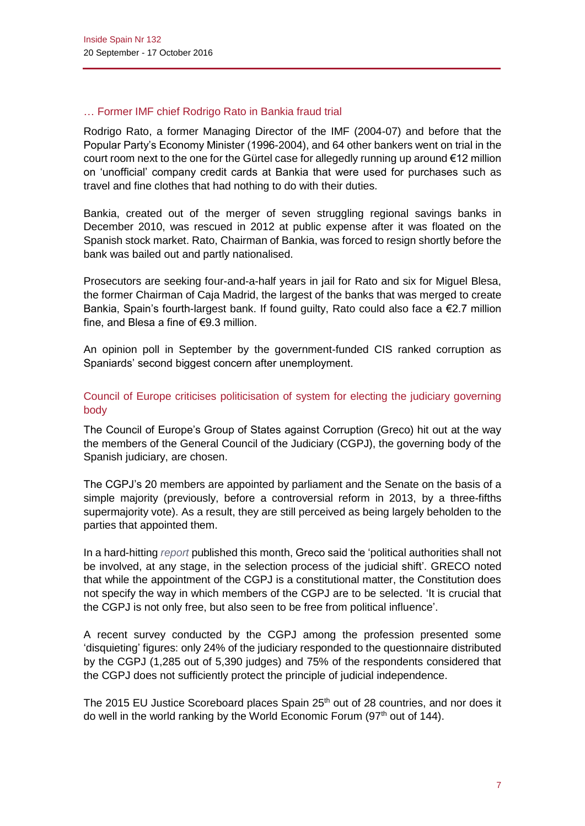## … Former IMF chief Rodrigo Rato in Bankia fraud trial

Rodrigo Rato, a former Managing Director of the IMF (2004-07) and before that the Popular Party's Economy Minister (1996-2004), and 64 other bankers went on trial in the court room next to the one for the Gürtel case for allegedly running up around €12 million on 'unofficial' company credit cards at Bankia that were used for purchases such as travel and fine clothes that had nothing to do with their duties.

Bankia, created out of the merger of seven struggling regional savings banks in December 2010, was rescued in 2012 at public expense after it was floated on the Spanish stock market. Rato, Chairman of Bankia, was forced to resign shortly before the bank was bailed out and partly nationalised.

Prosecutors are seeking four-and-a-half years in jail for Rato and six for Miguel Blesa, the former Chairman of Caja Madrid, the largest of the banks that was merged to create Bankia, Spain's fourth-largest bank. If found guilty, Rato could also face a €2.7 million fine, and Blesa a fine of  $\epsilon$ 9.3 million.

An opinion poll in September by the government-funded CIS ranked corruption as Spaniards' second biggest concern after unemployment.

# Council of Europe criticises politicisation of system for electing the judiciary governing body

The Council of Europe's Group of States against Corruption (Greco) hit out at the way the members of the General Council of the Judiciary (CGPJ), the governing body of the Spanish judiciary, are chosen.

The CGPJ's 20 members are appointed by parliament and the Senate on the basis of a simple majority (previously, before a controversial reform in 2013, by a three-fifths supermajority vote). As a result, they are still perceived as being largely beholden to the parties that appointed them.

In a hard-hitting *[report](http://www.coe.int/t/dghl/monitoreporting/greco%20()* published this month, Greco said the 'political authorities shall not be involved, at any stage, in the selection process of the judicial shift'. GRECO noted that while the appointment of the CGPJ is a constitutional matter, the Constitution does not specify the way in which members of the CGPJ are to be selected. 'It is crucial that the CGPJ is not only free, but also seen to be free from political influence'.

A recent survey conducted by the CGPJ among the profession presented some 'disquieting' figures: only 24% of the judiciary responded to the questionnaire distributed by the CGPJ (1,285 out of 5,390 judges) and 75% of the respondents considered that the CGPJ does not sufficiently protect the principle of judicial independence.

The 2015 EU Justice Scoreboard places Spain 25<sup>th</sup> out of 28 countries, and nor does it do well in the world ranking by the World Economic Forum (97<sup>th</sup> out of 144).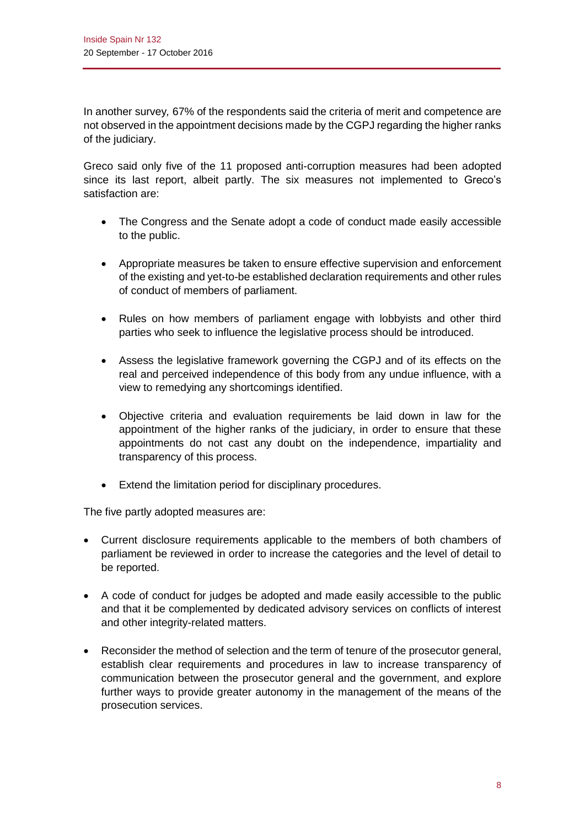In another survey*,* 67% of the respondents said the criteria of merit and competence are not observed in the appointment decisions made by the CGPJ regarding the higher ranks of the judiciary.

Greco said only five of the 11 proposed anti-corruption measures had been adopted since its last report, albeit partly. The six measures not implemented to Greco's satisfaction are:

- The Congress and the Senate adopt a code of conduct made easily accessible to the public.
- Appropriate measures be taken to ensure effective supervision and enforcement of the existing and yet-to-be established declaration requirements and other rules of conduct of members of parliament.
- Rules on how members of parliament engage with lobbyists and other third parties who seek to influence the legislative process should be introduced.
- Assess the legislative framework governing the CGPJ and of its effects on the real and perceived independence of this body from any undue influence, with a view to remedying any shortcomings identified.
- Objective criteria and evaluation requirements be laid down in law for the appointment of the higher ranks of the judiciary, in order to ensure that these appointments do not cast any doubt on the independence, impartiality and transparency of this process.
- Extend the limitation period for disciplinary procedures.

The five partly adopted measures are:

- Current disclosure requirements applicable to the members of both chambers of parliament be reviewed in order to increase the categories and the level of detail to be reported.
- A code of conduct for judges be adopted and made easily accessible to the public and that it be complemented by dedicated advisory services on conflicts of interest and other integrity-related matters.
- Reconsider the method of selection and the term of tenure of the prosecutor general, establish clear requirements and procedures in law to increase transparency of communication between the prosecutor general and the government, and explore further ways to provide greater autonomy in the management of the means of the prosecution services.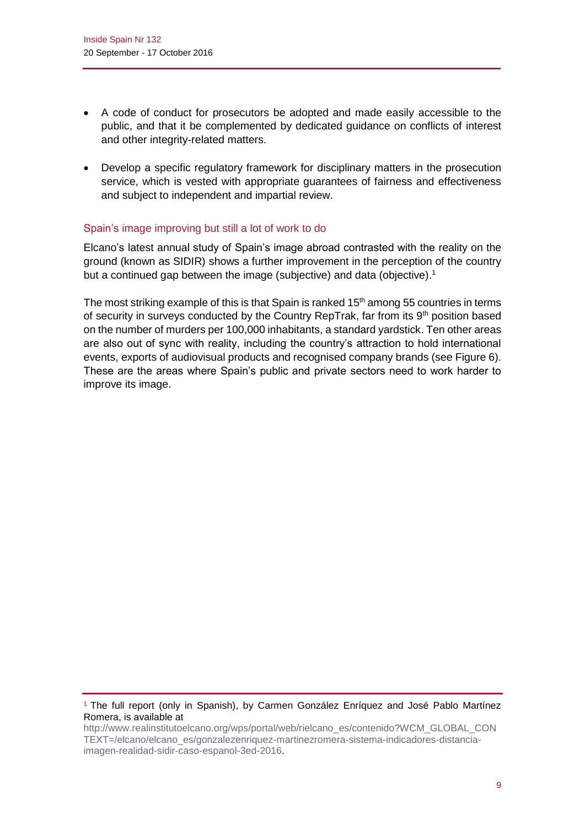- A code of conduct for prosecutors be adopted and made easily accessible to the public, and that it be complemented by dedicated guidance on conflicts of interest and other integrity-related matters.
- Develop a specific regulatory framework for disciplinary matters in the prosecution service, which is vested with appropriate guarantees of fairness and effectiveness and subject to independent and impartial review.

## Spain's image improving but still a lot of work to do

Elcano's latest annual study of Spain's image abroad contrasted with the reality on the ground (known as SIDIR) shows a further improvement in the perception of the country but a continued gap between the image (subjective) and data (objective).<sup>1</sup>

The most striking example of this is that Spain is ranked  $15<sup>th</sup>$  among 55 countries in terms of security in surveys conducted by the Country RepTrak, far from its  $9<sup>th</sup>$  position based on the number of murders per 100,000 inhabitants, a standard yardstick. Ten other areas are also out of sync with reality, including the country's attraction to hold international events, exports of audiovisual products and recognised company brands (see Figure 6). These are the areas where Spain's public and private sectors need to work harder to improve its image.

<sup>1</sup> The full report (only in Spanish), by Carmen González Enríquez and José Pablo Martínez Romera, is available at

[http://www.realinstitutoelcano.org/wps/portal/web/rielcano\\_es/contenido?WCM\\_GLOBAL\\_CON](http://www.realinstitutoelcano.org/wps/portal/web/rielcano_es/contenido?WCM_GLOBAL_CONTEXT=/elcano/elcano_es/gonzalezenriquez-martinezromera-sistema-indicadores-distancia-imagen-realidad-sidir-caso-espanol-3ed-2016) [TEXT=/elcano/elcano\\_es/gonzalezenriquez-martinezromera-sistema-indicadores-distancia](http://www.realinstitutoelcano.org/wps/portal/web/rielcano_es/contenido?WCM_GLOBAL_CONTEXT=/elcano/elcano_es/gonzalezenriquez-martinezromera-sistema-indicadores-distancia-imagen-realidad-sidir-caso-espanol-3ed-2016)[imagen-realidad-sidir-caso-espanol-3ed-2016.](http://www.realinstitutoelcano.org/wps/portal/web/rielcano_es/contenido?WCM_GLOBAL_CONTEXT=/elcano/elcano_es/gonzalezenriquez-martinezromera-sistema-indicadores-distancia-imagen-realidad-sidir-caso-espanol-3ed-2016)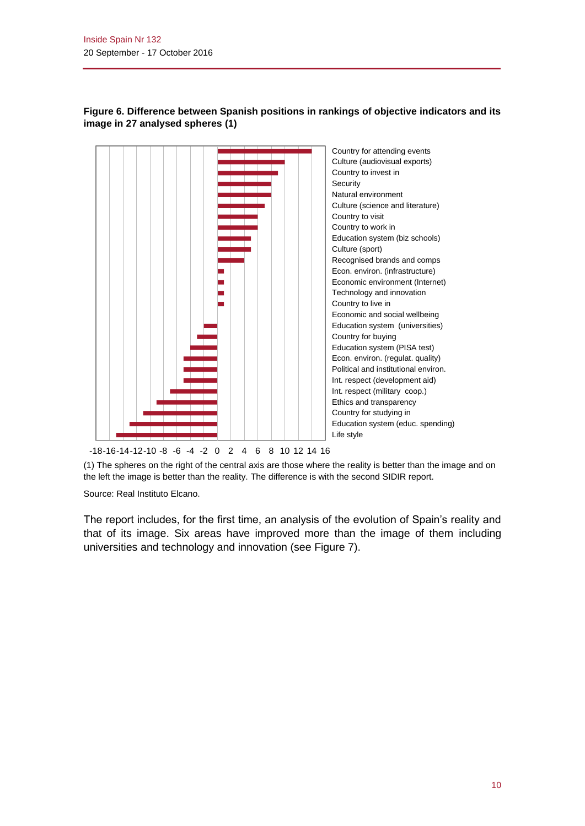

## **Figure 6. Difference between Spanish positions in rankings of objective indicators and its image in 27 analysed spheres (1)**

-18-16-14-12-10 -8 -6 -4 -2 0 2 4 6 8 10 12 14 16

(1) The spheres on the right of the central axis are those where the reality is better than the image and on the left the image is better than the reality. The difference is with the second SIDIR report.

Source: Real Instituto Elcano.

The report includes, for the first time, an analysis of the evolution of Spain's reality and that of its image. Six areas have improved more than the image of them including universities and technology and innovation (see Figure 7).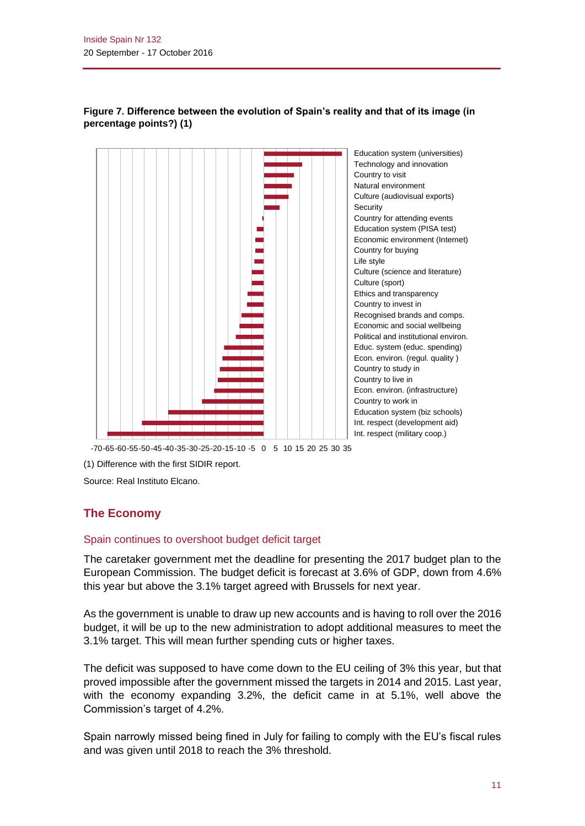

#### **Figure 7. Difference between the evolution of Spain's reality and that of its image (in percentage points?) (1)**

-70-65-60-55-50-45-40-35-30-25-20-15-10 -5 0 5 10 15 20 25 30 35

(1) Difference with the first SIDIR report.

Source: Real Instituto Elcano.

# **The Economy**

#### Spain continues to overshoot budget deficit target

The caretaker government met the deadline for presenting the 2017 budget plan to the European Commission. The budget deficit is forecast at 3.6% of GDP, down from 4.6% this year but above the 3.1% target agreed with Brussels for next year.

As the government is unable to draw up new accounts and is having to roll over the 2016 budget, it will be up to the new administration to adopt additional measures to meet the 3.1% target. This will mean further spending cuts or higher taxes.

The deficit was supposed to have come down to the EU ceiling of 3% this year, but that proved impossible after the government missed the targets in 2014 and 2015. Last year, with the economy expanding 3.2%, the deficit came in at 5.1%, well above the Commission's target of 4.2%.

Spain narrowly missed being fined in July for failing to comply with the EU's fiscal rules and was given until 2018 to reach the 3% threshold.